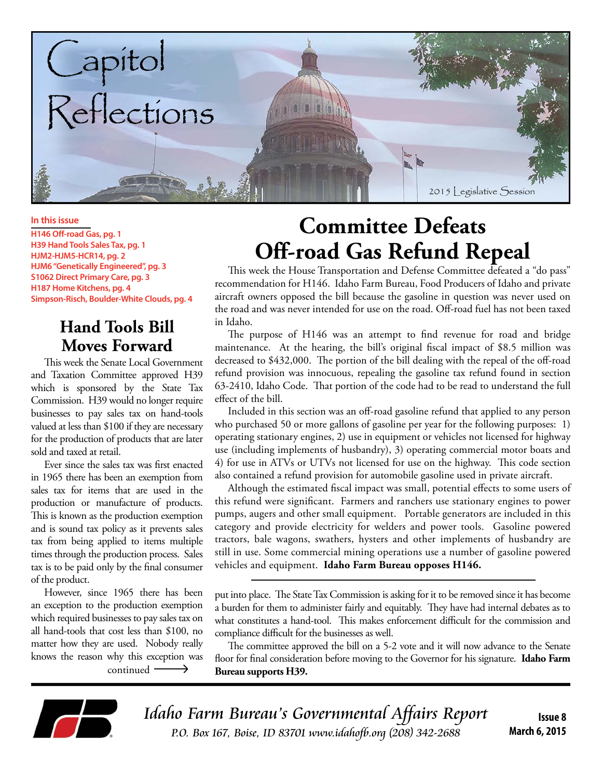

#### **In this issue**

**H146 Off-road Gas, pg. 1 H39 Hand Tools Sales Tax, pg. 1 HJM2-HJM5-HCR14, pg. 2 HJM6 "Genetically Engineered", pg. 3 S1062 Direct Primary Care, pg. 3 H187 Home Kitchens, pg. 4 Simpson-Risch, Boulder-White Clouds, pg. 4**

#### **Hand Tools Bill Moves Forward**

This week the Senate Local Government and Taxation Committee approved H39 which is sponsored by the State Tax Commission. H39 would no longer require businesses to pay sales tax on hand-tools valued at less than \$100 if they are necessary for the production of products that are later sold and taxed at retail.

Ever since the sales tax was first enacted in 1965 there has been an exemption from sales tax for items that are used in the production or manufacture of products. This is known as the production exemption and is sound tax policy as it prevents sales tax from being applied to items multiple times through the production process. Sales tax is to be paid only by the final consumer of the product.

However, since 1965 there has been an exception to the production exemption which required businesses to pay sales tax on all hand-tools that cost less than \$100, no matter how they are used. Nobody really knows the reason why this exception was

# **Committee Defeats Off-road Gas Refund Repeal**

This week the House Transportation and Defense Committee defeated a "do pass" recommendation for H146. Idaho Farm Bureau, Food Producers of Idaho and private aircraft owners opposed the bill because the gasoline in question was never used on the road and was never intended for use on the road. Off-road fuel has not been taxed in Idaho.

The purpose of H146 was an attempt to find revenue for road and bridge maintenance. At the hearing, the bill's original fiscal impact of \$8.5 million was decreased to \$432,000. The portion of the bill dealing with the repeal of the off-road refund provision was innocuous, repealing the gasoline tax refund found in section 63-2410, Idaho Code. That portion of the code had to be read to understand the full effect of the bill.

Included in this section was an off-road gasoline refund that applied to any person who purchased 50 or more gallons of gasoline per year for the following purposes: 1) operating stationary engines, 2) use in equipment or vehicles not licensed for highway use (including implements of husbandry), 3) operating commercial motor boats and 4) for use in ATVs or UTVs not licensed for use on the highway. This code section also contained a refund provision for automobile gasoline used in private aircraft.

Although the estimated fiscal impact was small, potential effects to some users of this refund were significant. Farmers and ranchers use stationary engines to power pumps, augers and other small equipment. Portable generators are included in this category and provide electricity for welders and power tools. Gasoline powered tractors, bale wagons, swathers, hysters and other implements of husbandry are still in use. Some commercial mining operations use a number of gasoline powered vehicles and equipment. **Idaho Farm Bureau opposes H146.**

put into place. The State Tax Commission is asking for it to be removed since it has become a burden for them to administer fairly and equitably. They have had internal debates as to what constitutes a hand-tool. This makes enforcement difficult for the commission and compliance difficult for the businesses as well.

The committee approved the bill on a 5-2 vote and it will now advance to the Senate floor for final consideration before moving to the Governor for his signature. **Idaho Farm**  continued **Bureau supports H39.** 



Idaho Farm Bureau's Governmental Affairs Report P.O. Box 167, Boise, ID 83701 www.idahofb.org (208) 342-2688

**Issue 8 March 6, 2015**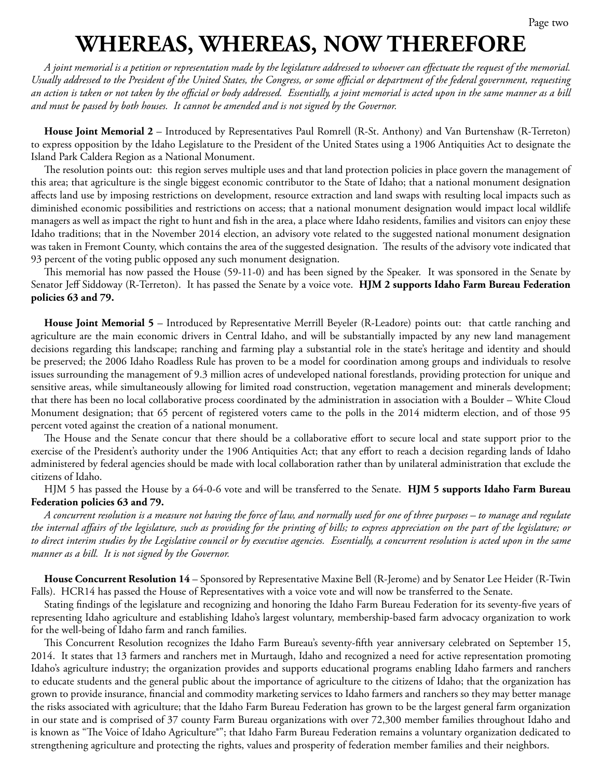# **WHEREAS, WHEREAS, NOW THEREFORE**

*A joint memorial is a petition or representation made by the legislature addressed to whoever can effectuate the request of the memorial. Usually addressed to the President of the United States, the Congress, or some official or department of the federal government, requesting an action is taken or not taken by the official or body addressed. Essentially, a joint memorial is acted upon in the same manner as a bill and must be passed by both houses. It cannot be amended and is not signed by the Governor.*

**House Joint Memorial 2** – Introduced by Representatives Paul Romrell (R-St. Anthony) and Van Burtenshaw (R-Terreton) to express opposition by the Idaho Legislature to the President of the United States using a 1906 Antiquities Act to designate the Island Park Caldera Region as a National Monument.

The resolution points out: this region serves multiple uses and that land protection policies in place govern the management of this area; that agriculture is the single biggest economic contributor to the State of Idaho; that a national monument designation affects land use by imposing restrictions on development, resource extraction and land swaps with resulting local impacts such as diminished economic possibilities and restrictions on access; that a national monument designation would impact local wildlife managers as well as impact the right to hunt and fish in the area, a place where Idaho residents, families and visitors can enjoy these Idaho traditions; that in the November 2014 election, an advisory vote related to the suggested national monument designation was taken in Fremont County, which contains the area of the suggested designation. The results of the advisory vote indicated that 93 percent of the voting public opposed any such monument designation.

This memorial has now passed the House (59-11-0) and has been signed by the Speaker. It was sponsored in the Senate by Senator Jeff Siddoway (R-Terreton). It has passed the Senate by a voice vote. **HJM 2 supports Idaho Farm Bureau Federation policies 63 and 79.** 

**House Joint Memorial 5** – Introduced by Representative Merrill Beyeler (R-Leadore) points out: that cattle ranching and agriculture are the main economic drivers in Central Idaho, and will be substantially impacted by any new land management decisions regarding this landscape; ranching and farming play a substantial role in the state's heritage and identity and should be preserved; the 2006 Idaho Roadless Rule has proven to be a model for coordination among groups and individuals to resolve issues surrounding the management of 9.3 million acres of undeveloped national forestlands, providing protection for unique and sensitive areas, while simultaneously allowing for limited road construction, vegetation management and minerals development; that there has been no local collaborative process coordinated by the administration in association with a Boulder – White Cloud Monument designation; that 65 percent of registered voters came to the polls in the 2014 midterm election, and of those 95 percent voted against the creation of a national monument.

The House and the Senate concur that there should be a collaborative effort to secure local and state support prior to the exercise of the President's authority under the 1906 Antiquities Act; that any effort to reach a decision regarding lands of Idaho administered by federal agencies should be made with local collaboration rather than by unilateral administration that exclude the citizens of Idaho.

HJM 5 has passed the House by a 64-0-6 vote and will be transferred to the Senate. **HJM 5 supports Idaho Farm Bureau Federation policies 63 and 79.**

*A concurrent resolution is a measure not having the force of law, and normally used for one of three purposes – to manage and regulate the internal affairs of the legislature, such as providing for the printing of bills; to express appreciation on the part of the legislature; or to direct interim studies by the Legislative council or by executive agencies. Essentially, a concurrent resolution is acted upon in the same manner as a bill. It is not signed by the Governor.*

**House Concurrent Resolution 14** – Sponsored by Representative Maxine Bell (R-Jerome) and by Senator Lee Heider (R-Twin Falls). HCR14 has passed the House of Representatives with a voice vote and will now be transferred to the Senate.

Stating findings of the legislature and recognizing and honoring the Idaho Farm Bureau Federation for its seventy-five years of representing Idaho agriculture and establishing Idaho's largest voluntary, membership-based farm advocacy organization to work for the well-being of Idaho farm and ranch families.

This Concurrent Resolution recognizes the Idaho Farm Bureau's seventy-fifth year anniversary celebrated on September 15, 2014. It states that 13 farmers and ranchers met in Murtaugh, Idaho and recognized a need for active representation promoting Idaho's agriculture industry; the organization provides and supports educational programs enabling Idaho farmers and ranchers to educate students and the general public about the importance of agriculture to the citizens of Idaho; that the organization has grown to provide insurance, financial and commodity marketing services to Idaho farmers and ranchers so they may better manage the risks associated with agriculture; that the Idaho Farm Bureau Federation has grown to be the largest general farm organization in our state and is comprised of 37 county Farm Bureau organizations with over 72,300 member families throughout Idaho and is known as "The Voice of Idaho Agriculture®"; that Idaho Farm Bureau Federation remains a voluntary organization dedicated to strengthening agriculture and protecting the rights, values and prosperity of federation member families and their neighbors.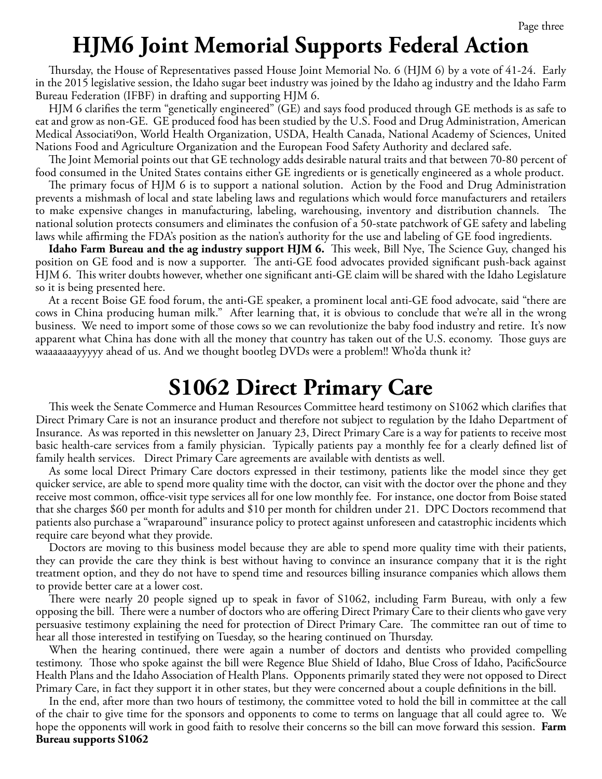#### **HJM6 Joint Memorial Supports Federal Action**

Thursday, the House of Representatives passed House Joint Memorial No. 6 (HJM 6) by a vote of 41-24.Early in the 2015 legislative session, the Idaho sugar beet industry was joined by the Idaho ag industry and the Idaho Farm Bureau Federation (IFBF) in drafting and supporting HJM 6.

HJM 6 clarifies the term "genetically engineered" (GE) and says food produced through GE methods is as safe to eat and grow as non-GE. GE produced food has been studied by the U.S. Food and Drug Administration, American Medical Associati9on, World Health Organization, USDA, Health Canada, National Academy of Sciences, United Nations Food and Agriculture Organization and the European Food Safety Authority and declared safe.

The Joint Memorial points out that GE technology adds desirable natural traits and that between 70-80 percent of food consumed in the United States contains either GE ingredients or is genetically engineered as a whole product.

The primary focus of HJM 6 is to support a national solution. Action by the Food and Drug Administration prevents a mishmash of local and state labeling laws and regulations which would force manufacturers and retailers to make expensive changes in manufacturing, labeling, warehousing, inventory and distribution channels. The national solution protects consumers and eliminates the confusion of a 50-state patchwork of GE safety and labeling laws while affirming the FDA's position as the nation's authority for the use and labeling of GE food ingredients.

**Idaho Farm Bureau and the ag industry support HJM 6.** This week, Bill Nye, The Science Guy, changed his position on GE food and is now a supporter. The anti-GE food advocates provided significant push-back against HJM 6. This writer doubts however, whether one significant anti-GE claim will be shared with the Idaho Legislature so it is being presented here.

At a recent Boise GE food forum, the anti-GE speaker, a prominent local anti-GE food advocate, said "there are cows in China producing human milk." After learning that, it is obvious to conclude that we're all in the wrong business. We need to import some of those cows so we can revolutionize the baby food industry and retire. It's now apparent what China has done with all the money that country has taken out of the U.S. economy. Those guys are waaaaaaayyyyy ahead of us. And we thought bootleg DVDs were a problem!! Who'da thunk it?

#### **S1062 Direct Primary Care**

This week the Senate Commerce and Human Resources Committee heard testimony on S1062 which clarifies that Direct Primary Care is not an insurance product and therefore not subject to regulation by the Idaho Department of Insurance. As was reported in this newsletter on January 23, Direct Primary Care is a way for patients to receive most basic health-care services from a family physician. Typically patients pay a monthly fee for a clearly defined list of family health services. Direct Primary Care agreements are available with dentists as well.

As some local Direct Primary Care doctors expressed in their testimony, patients like the model since they get quicker service, are able to spend more quality time with the doctor, can visit with the doctor over the phone and they receive most common, office-visit type services all for one low monthly fee. For instance, one doctor from Boise stated that she charges \$60 per month for adults and \$10 per month for children under 21. DPC Doctors recommend that patients also purchase a "wraparound" insurance policy to protect against unforeseen and catastrophic incidents which require care beyond what they provide.

Doctors are moving to this business model because they are able to spend more quality time with their patients, they can provide the care they think is best without having to convince an insurance company that it is the right treatment option, and they do not have to spend time and resources billing insurance companies which allows them to provide better care at a lower cost.

There were nearly 20 people signed up to speak in favor of S1062, including Farm Bureau, with only a few opposing the bill. There were a number of doctors who are offering Direct Primary Care to their clients who gave very persuasive testimony explaining the need for protection of Direct Primary Care. The committee ran out of time to hear all those interested in testifying on Tuesday, so the hearing continued on Thursday.

When the hearing continued, there were again a number of doctors and dentists who provided compelling testimony. Those who spoke against the bill were Regence Blue Shield of Idaho, Blue Cross of Idaho, PacificSource Health Plans and the Idaho Association of Health Plans. Opponents primarily stated they were not opposed to Direct Primary Care, in fact they support it in other states, but they were concerned about a couple definitions in the bill.

In the end, after more than two hours of testimony, the committee voted to hold the bill in committee at the call of the chair to give time for the sponsors and opponents to come to terms on language that all could agree to. We hope the opponents will work in good faith to resolve their concerns so the bill can move forward this session. **Farm Bureau supports S1062**